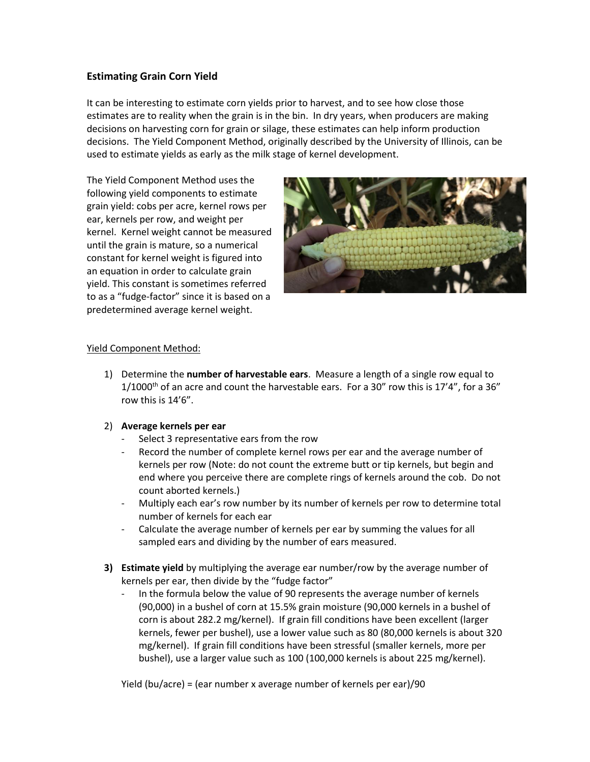## **Estimating Grain Corn Yield**

It can be interesting to estimate corn yields prior to harvest, and to see how close those estimates are to reality when the grain is in the bin. In dry years, when producers are making decisions on harvesting corn for grain or silage, these estimates can help inform production decisions. The Yield Component Method, originally described by the University of Illinois, can be used to estimate yields as early as the milk stage of kernel development.

The Yield Component Method uses the following yield components to estimate grain yield: cobs per acre, kernel rows per ear, kernels per row, and weight per kernel. Kernel weight cannot be measured until the grain is mature, so a numerical constant for kernel weight is figured into an equation in order to calculate grain yield. This constant is sometimes referred to as a "fudge-factor" since it is based on a predetermined average kernel weight.



## Yield Component Method:

1) Determine the **number of harvestable ears**. Measure a length of a single row equal to  $1/1000$ <sup>th</sup> of an acre and count the harvestable ears. For a 30" row this is  $17'4"$ , for a 36" row this is 14'6".

## 2) **Average kernels per ear**

- Select 3 representative ears from the row
- Record the number of complete kernel rows per ear and the average number of kernels per row (Note: do not count the extreme butt or tip kernels, but begin and end where you perceive there are complete rings of kernels around the cob. Do not count aborted kernels.)
- Multiply each ear's row number by its number of kernels per row to determine total number of kernels for each ear
- Calculate the average number of kernels per ear by summing the values for all sampled ears and dividing by the number of ears measured.
- **3) Estimate yield** by multiplying the average ear number/row by the average number of kernels per ear, then divide by the "fudge factor"
	- In the formula below the value of 90 represents the average number of kernels (90,000) in a bushel of corn at 15.5% grain moisture (90,000 kernels in a bushel of corn is about 282.2 mg/kernel). If grain fill conditions have been excellent (larger kernels, fewer per bushel), use a lower value such as 80 (80,000 kernels is about 320 mg/kernel). If grain fill conditions have been stressful (smaller kernels, more per bushel), use a larger value such as 100 (100,000 kernels is about 225 mg/kernel).

Yield (bu/acre) = (ear number x average number of kernels per ear)/90